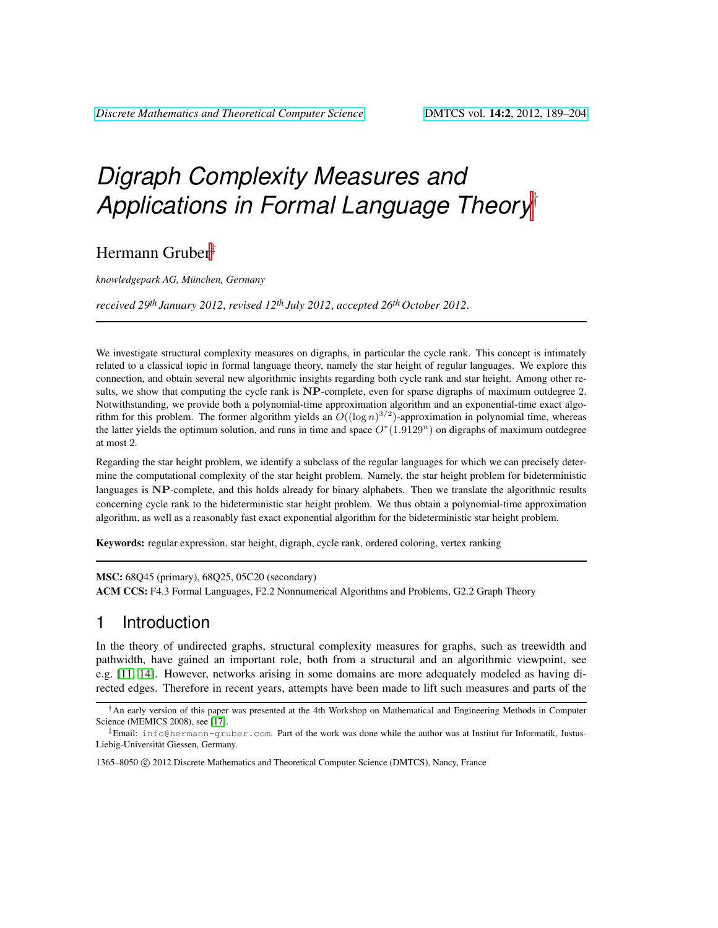# *Digraph Complexity Measures and Applications in Formal Language Theory*†

Hermann Gruber‡

*knowledgepark AG, Munchen, Germany ¨*

*received 29th January 2012*, *revised 12th July 2012*, *accepted 26th October 2012*.

We investigate structural complexity measures on digraphs, in particular the cycle rank. This concept is intimately related to a classical topic in formal language theory, namely the star height of regular languages. We explore this connection, and obtain several new algorithmic insights regarding both cycle rank and star height. Among other results, we show that computing the cycle rank is NP-complete, even for sparse digraphs of maximum outdegree 2. Notwithstanding, we provide both a polynomial-time approximation algorithm and an exponential-time exact algorithm for this problem. The former algorithm yields an  $O((\log n)^{3/2})$ -approximation in polynomial time, whereas the latter yields the optimum solution, and runs in time and space  $O^*(1.9129^n)$  on digraphs of maximum outdegree at most 2.

Regarding the star height problem, we identify a subclass of the regular languages for which we can precisely determine the computational complexity of the star height problem. Namely, the star height problem for bideterministic languages is NP-complete, and this holds already for binary alphabets. Then we translate the algorithmic results concerning cycle rank to the bideterministic star height problem. We thus obtain a polynomial-time approximation algorithm, as well as a reasonably fast exact exponential algorithm for the bideterministic star height problem.

Keywords: regular expression, star height, digraph, cycle rank, ordered coloring, vertex ranking

MSC: 68Q45 (primary), 68Q25, 05C20 (secondary)

ACM CCS: F4.3 Formal Languages, F2.2 Nonnumerical Algorithms and Problems, G2.2 Graph Theory

# 1 Introduction

In the theory of undirected graphs, structural complexity measures for graphs, such as treewidth and pathwidth, have gained an important role, both from a structural and an algorithmic viewpoint, see e.g. [\[11,](#page-13-0) [14\]](#page-13-1). However, networks arising in some domains are more adequately modeled as having directed edges. Therefore in recent years, attempts have been made to lift such measures and parts of the

1365–8050 (C) 2012 Discrete Mathematics and Theoretical Computer Science (DMTCS), Nancy, France

<sup>†</sup>An early version of this paper was presented at the 4th Workshop on Mathematical and Engineering Methods in Computer Science (MEMICS 2008), see [\[17\]](#page-13-2).

 $\ddagger$ Email: info@hermann-gruber.com. Part of the work was done while the author was at Institut fur Informatik, Justus-Liebig-Universität Giessen, Germany.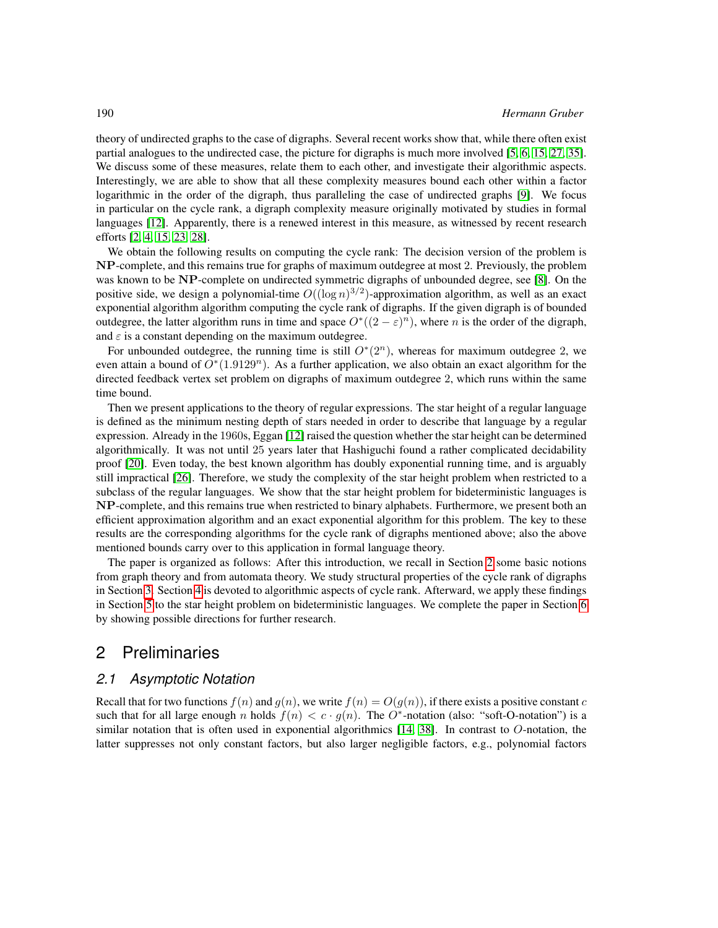theory of undirected graphs to the case of digraphs. Several recent works show that, while there often exist partial analogues to the undirected case, the picture for digraphs is much more involved [\[5,](#page-13-3) [6,](#page-13-4) [15,](#page-13-5) [27,](#page-14-0) [35\]](#page-14-1). We discuss some of these measures, relate them to each other, and investigate their algorithmic aspects. Interestingly, we are able to show that all these complexity measures bound each other within a factor logarithmic in the order of the digraph, thus paralleling the case of undirected graphs [\[9\]](#page-13-6). We focus in particular on the cycle rank, a digraph complexity measure originally motivated by studies in formal languages [\[12\]](#page-13-7). Apparently, there is a renewed interest in this measure, as witnessed by recent research efforts [\[2,](#page-13-8) [4,](#page-13-9) [15,](#page-13-5) [23,](#page-14-2) [28\]](#page-14-3).

We obtain the following results on computing the cycle rank: The decision version of the problem is NP-complete, and this remains true for graphs of maximum outdegree at most 2. Previously, the problem was known to be NP-complete on undirected symmetric digraphs of unbounded degree, see [\[8\]](#page-13-10). On the positive side, we design a polynomial-time  $O((\log n)^{3/2})$ -approximation algorithm, as well as an exact exponential algorithm algorithm computing the cycle rank of digraphs. If the given digraph is of bounded outdegree, the latter algorithm runs in time and space  $O^*((2 - \varepsilon)^n)$ , where n is the order of the digraph, and  $\varepsilon$  is a constant depending on the maximum outdegree.

For unbounded outdegree, the running time is still  $O<sup>*</sup>(2<sup>n</sup>)$ , whereas for maximum outdegree 2, we even attain a bound of  $O<sup>*</sup>(1.9129<sup>n</sup>)$ . As a further application, we also obtain an exact algorithm for the directed feedback vertex set problem on digraphs of maximum outdegree 2, which runs within the same time bound.

Then we present applications to the theory of regular expressions. The star height of a regular language is defined as the minimum nesting depth of stars needed in order to describe that language by a regular expression. Already in the 1960s, Eggan [\[12\]](#page-13-7) raised the question whether the star height can be determined algorithmically. It was not until 25 years later that Hashiguchi found a rather complicated decidability proof [\[20\]](#page-14-4). Even today, the best known algorithm has doubly exponential running time, and is arguably still impractical [\[26\]](#page-14-5). Therefore, we study the complexity of the star height problem when restricted to a subclass of the regular languages. We show that the star height problem for bideterministic languages is NP-complete, and this remains true when restricted to binary alphabets. Furthermore, we present both an efficient approximation algorithm and an exact exponential algorithm for this problem. The key to these results are the corresponding algorithms for the cycle rank of digraphs mentioned above; also the above mentioned bounds carry over to this application in formal language theory.

The paper is organized as follows: After this introduction, we recall in Section [2](#page-1-0) some basic notions from graph theory and from automata theory. We study structural properties of the cycle rank of digraphs in Section [3.](#page-3-0) Section [4](#page-7-0) is devoted to algorithmic aspects of cycle rank. Afterward, we apply these findings in Section [5](#page-10-0) to the star height problem on bideterministic languages. We complete the paper in Section [6](#page-12-0) by showing possible directions for further research.

## <span id="page-1-0"></span>2 Preliminaries

### *2.1 Asymptotic Notation*

Recall that for two functions  $f(n)$  and  $g(n)$ , we write  $f(n) = O(g(n))$ , if there exists a positive constant c such that for all large enough n holds  $f(n) < c \cdot g(n)$ . The O<sup>\*</sup>-notation (also: "soft-O-notation") is a similar notation that is often used in exponential algorithmics  $[14, 38]$  $[14, 38]$ . In contrast to O-notation, the latter suppresses not only constant factors, but also larger negligible factors, e.g., polynomial factors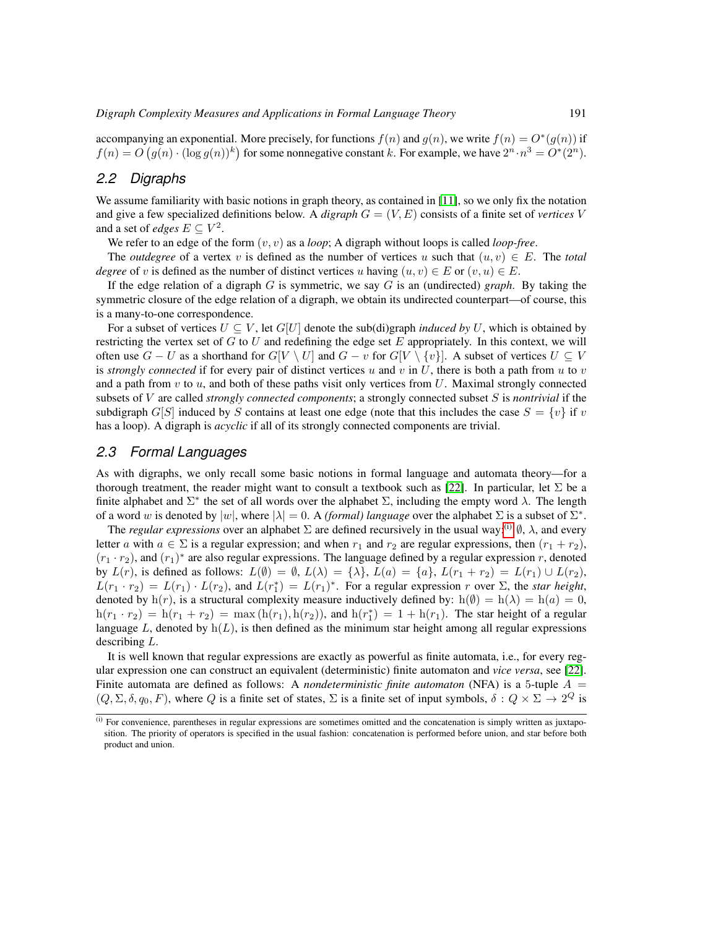accompanying an exponential. More precisely, for functions  $f(n)$  and  $g(n)$ , we write  $f(n) = O^*(g(n))$  if  $f(n) = O(g(n) \cdot (\log g(n))^k)$  for some nonnegative constant k. For example, we have  $2^n \cdot n^3 = O^*(2^n)$ .

#### *2.2 Digraphs*

We assume familiarity with basic notions in graph theory, as contained in [\[11\]](#page-13-0), so we only fix the notation and give a few specialized definitions below. A *digraph* G = (V, E) consists of a finite set of *vertices* V and a set of *edges*  $E \subseteq V^2$ .

We refer to an edge of the form (v, v) as a *loop*; A digraph without loops is called *loop-free*.

The *outdegree* of a vertex v is defined as the number of vertices u such that  $(u, v) \in E$ . The *total degree* of v is defined as the number of distinct vertices u having  $(u, v) \in E$  or  $(v, u) \in E$ .

If the edge relation of a digraph G is symmetric, we say G is an (undirected) *graph*. By taking the symmetric closure of the edge relation of a digraph, we obtain its undirected counterpart—of course, this is a many-to-one correspondence.

For a subset of vertices  $U \subseteq V$ , let  $G[U]$  denote the sub(di)graph *induced by* U, which is obtained by restricting the vertex set of  $G$  to  $U$  and redefining the edge set  $E$  appropriately. In this context, we will often use  $G - U$  as a shorthand for  $G[V \setminus U]$  and  $G - v$  for  $G[V \setminus \{v\}]$ . A subset of vertices  $U \subseteq V$ is *strongly connected* if for every pair of distinct vertices u and v in U, there is both a path from u to v and a path from  $v$  to  $u$ , and both of these paths visit only vertices from  $U$ . Maximal strongly connected subsets of V are called *strongly connected components*; a strongly connected subset S is *nontrivial* if the subdigraph G[S] induced by S contains at least one edge (note that this includes the case  $S = \{v\}$  if v has a loop). A digraph is *acyclic* if all of its strongly connected components are trivial.

#### *2.3 Formal Languages*

As with digraphs, we only recall some basic notions in formal language and automata theory—for a thorough treatment, the reader might want to consult a textbook such as [\[22\]](#page-14-6). In particular, let  $\Sigma$  be a finite alphabet and  $\Sigma^*$  the set of all words over the alphabet  $\Sigma$ , including the empty word  $\lambda$ . The length of a word w is denoted by  $|w|$ , where  $|\lambda| = 0$ . A *(formal) language* over the alphabet  $\Sigma$  is a subset of  $\Sigma^*$ .

The *regular expressions* over an alphabet  $\Sigma$  are defined recursively in the usual way:<sup>[\(i\)](#page-2-0)</sup>  $\emptyset$ ,  $\lambda$ , and every letter a with  $a \in \Sigma$  is a regular expression; and when  $r_1$  and  $r_2$  are regular expressions, then  $(r_1 + r_2)$ ,  $(r_1 \cdot r_2)$ , and  $(r_1)^*$  are also regular expressions. The language defined by a regular expression r, denoted by  $L(r)$ , is defined as follows:  $L(\emptyset) = \emptyset$ ,  $L(\lambda) = {\lambda}$ ,  $L(a) = {a}$ ,  $L(r_1 + r_2) = L(r_1) \cup L(r_2)$ ,  $L(r_1 \cdot r_2) = L(r_1) \cdot L(r_2)$ , and  $L(r_1^*) = L(r_1)^*$ . For a regular expression r over  $\Sigma$ , the *star height*, denoted by h(r), is a structural complexity measure inductively defined by: h( $\emptyset$ ) = h( $\lambda$ ) = h( $a$ ) = 0,  $h(r_1 \cdot r_2) = h(r_1 + r_2) = \max(h(r_1), h(r_2))$ , and  $h(r_1^*) = 1 + h(r_1)$ . The star height of a regular language L, denoted by  $h(L)$ , is then defined as the minimum star height among all regular expressions describing L.

It is well known that regular expressions are exactly as powerful as finite automata, i.e., for every regular expression one can construct an equivalent (deterministic) finite automaton and *vice versa*, see [\[22\]](#page-14-6). Finite automata are defined as follows: A *nondeterministic finite automaton* (NFA) is a 5-tuple  $A =$  $(Q, \Sigma, \delta, q_0, F)$ , where Q is a finite set of states,  $\Sigma$  is a finite set of input symbols,  $\delta: Q \times \Sigma \to 2^Q$  is

<span id="page-2-0"></span> $<sup>(i)</sup>$  For convenience, parentheses in regular expressions are sometimes omitted and the concatenation is simply written as juxtapo-</sup> sition. The priority of operators is specified in the usual fashion: concatenation is performed before union, and star before both product and union.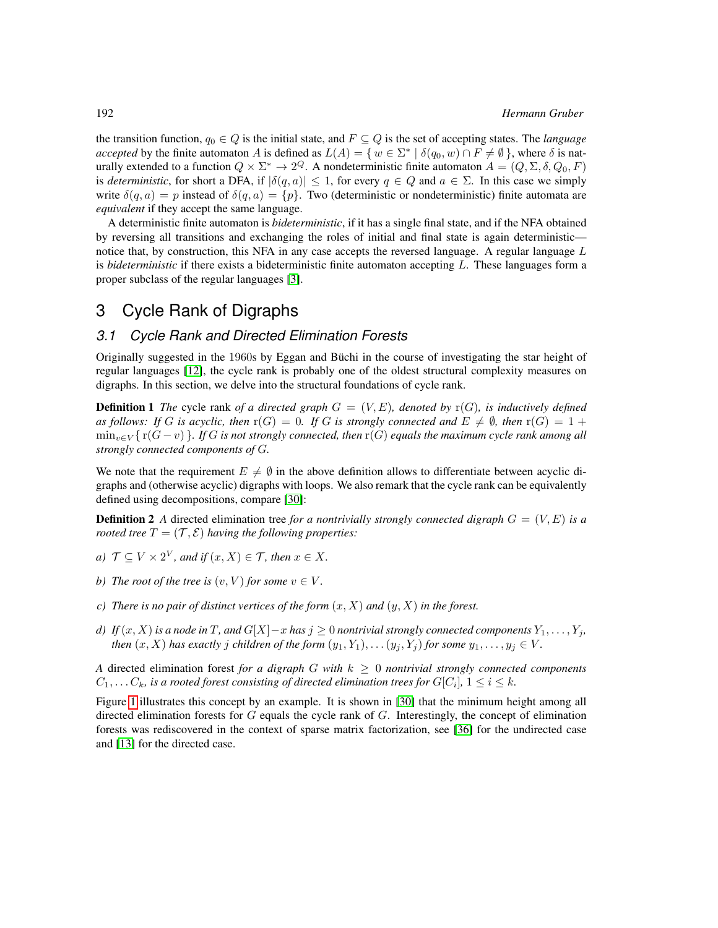the transition function,  $q_0 \in Q$  is the initial state, and  $F \subseteq Q$  is the set of accepting states. The *language accepted* by the finite automaton A is defined as  $L(A) = \{ w \in \Sigma^* \mid \delta(q_0, w) \cap F \neq \emptyset \}$ , where  $\delta$  is naturally extended to a function  $Q \times \Sigma^* \to 2^Q$ . A nondeterministic finite automaton  $A = (Q, \Sigma, \delta, Q_0, F)$ is *deterministic*, for short a DFA, if  $|\delta(q, a)| \leq 1$ , for every  $q \in Q$  and  $a \in \Sigma$ . In this case we simply write  $\delta(q, a) = p$  instead of  $\delta(q, a) = \{p\}$ . Two (deterministic or nondeterministic) finite automata are *equivalent* if they accept the same language.

A deterministic finite automaton is *bideterministic*, if it has a single final state, and if the NFA obtained by reversing all transitions and exchanging the roles of initial and final state is again deterministic notice that, by construction, this NFA in any case accepts the reversed language. A regular language  $L$ is *bideterministic* if there exists a bideterministic finite automaton accepting L. These languages form a proper subclass of the regular languages [\[3\]](#page-13-11).

# <span id="page-3-0"></span>3 Cycle Rank of Digraphs

#### *3.1 Cycle Rank and Directed Elimination Forests*

Originally suggested in the 1960s by Eggan and Buchi in the course of investigating the star height of ¨ regular languages [\[12\]](#page-13-7), the cycle rank is probably one of the oldest structural complexity measures on digraphs. In this section, we delve into the structural foundations of cycle rank.

<span id="page-3-1"></span>**Definition 1** The cycle rank of a directed graph  $G = (V, E)$ , denoted by  $r(G)$ , is inductively defined *as follows:* If G is acyclic, then  $r(G) = 0$ . If G is strongly connected and  $E \neq \emptyset$ , then  $r(G) = 1 +$ minv∈<sup>V</sup> { r(G − v) }*. If* G *is not strongly connected, then* r(G) *equals the maximum cycle rank among all strongly connected components of* G*.*

<span id="page-3-2"></span>We note that the requirement  $E \neq \emptyset$  in the above definition allows to differentiate between acyclic digraphs and (otherwise acyclic) digraphs with loops. We also remark that the cycle rank can be equivalently defined using decompositions, compare [\[30\]](#page-14-7):

**Definition 2** A directed elimination tree *for a nontrivially strongly connected digraph*  $G = (V, E)$  *is a rooted tree*  $T = (\mathcal{T}, \mathcal{E})$  *having the following properties:* 

- *a*)  $\mathcal{T} \subseteq V \times 2^V$ , and if  $(x, X) \in \mathcal{T}$ , then  $x \in X$ .
- *b)* The root of the tree is  $(v, V)$  for some  $v \in V$ .
- *c*) There is no pair of distinct vertices of the form  $(x, X)$  and  $(y, X)$  in the forest.
- *d) If*  $(x, X)$  *is a node in* T, and  $G[X]-x$  *has*  $j \ge 0$  *nontrivial strongly connected components*  $Y_1, \ldots, Y_j$ *, then*  $(x, X)$  *has exactly j children of the form*  $(y_1, Y_1), \ldots (y_j, Y_j)$  *for some*  $y_1, \ldots, y_j \in V$ *.*

*A* directed elimination forest *for a digraph* G with  $k \geq 0$  *nontrivial strongly connected components*  $C_1, \ldots C_k$ , is a rooted forest consisting of directed elimination trees for  $G[C_i]$ ,  $1 \leq i \leq k$ .

Figure [1](#page-4-0) illustrates this concept by an example. It is shown in [\[30\]](#page-14-7) that the minimum height among all directed elimination forests for  $G$  equals the cycle rank of  $G$ . Interestingly, the concept of elimination forests was rediscovered in the context of sparse matrix factorization, see [\[36\]](#page-14-8) for the undirected case and [\[13\]](#page-13-12) for the directed case.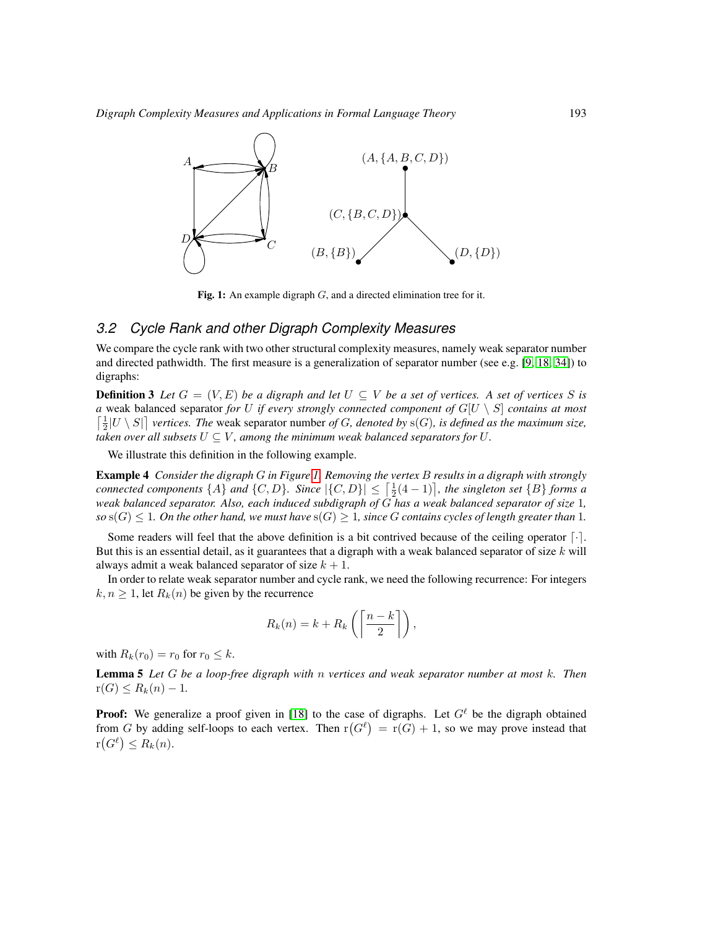

<span id="page-4-0"></span>Fig. 1: An example digraph  $G$ , and a directed elimination tree for it.

### *3.2 Cycle Rank and other Digraph Complexity Measures*

We compare the cycle rank with two other structural complexity measures, namely weak separator number and directed pathwidth. The first measure is a generalization of separator number (see e.g. [\[9,](#page-13-6) [18,](#page-14-9) [34\]](#page-14-10)) to digraphs:

**Definition 3** Let  $G = (V, E)$  be a digraph and let  $U \subseteq V$  be a set of vertices. A set of vertices S is *a* weak balanced separator *for U if every strongly connected component of*  $G[U \setminus S]$  *contains at most*  $\left[\frac{1}{2}|U \setminus S|\right]$  vertices. The weak separator number *of* G, denoted by s(G), is defined as the maximum size, *taken over all subsets*  $U \subseteq V$ , among the minimum weak balanced separators for U.

We illustrate this definition in the following example.

Example 4 *Consider the digraph* G *in Figure [1.](#page-4-0) Removing the vertex* B *results in a digraph with strongly connected components*  $\{A\}$  *and*  $\{C, D\}$ *. Since*  $|\{C, D\}| \leq \left[\frac{1}{2}(4-1)\right]$ *, the singleton set*  $\{B\}$  *forms a weak balanced separator. Also, each induced subdigraph of* G *has a weak balanced separator of size* 1*,*  $\text{so } s(G) \leq 1$ . On the other hand, we must have  $s(G) \geq 1$ , since G contains cycles of length greater than 1.

Some readers will feel that the above definition is a bit contrived because of the ceiling operator  $\lceil \cdot \rceil$ . But this is an essential detail, as it guarantees that a digraph with a weak balanced separator of size  $k$  will always admit a weak balanced separator of size  $k + 1$ .

In order to relate weak separator number and cycle rank, we need the following recurrence: For integers  $k, n \geq 1$ , let  $R_k(n)$  be given by the recurrence

$$
R_k(n) = k + R_k\left(\left\lceil\frac{n-k}{2}\right\rceil\right),\,
$$

with  $R_k(r_0) = r_0$  for  $r_0 \leq k$ .

Lemma 5 *Let* G *be a loop-free digraph with* n *vertices and weak separator number at most* k*. Then*  $r(G) \leq R_k(n) - 1$ .

**Proof:** We generalize a proof given in [\[18\]](#page-14-9) to the case of digraphs. Let  $G^{\ell}$  be the digraph obtained from G by adding self-loops to each vertex. Then  $r(G^{\ell}) = r(G) + 1$ , so we may prove instead that  $r(G^{\ell}) \leq R_k(n).$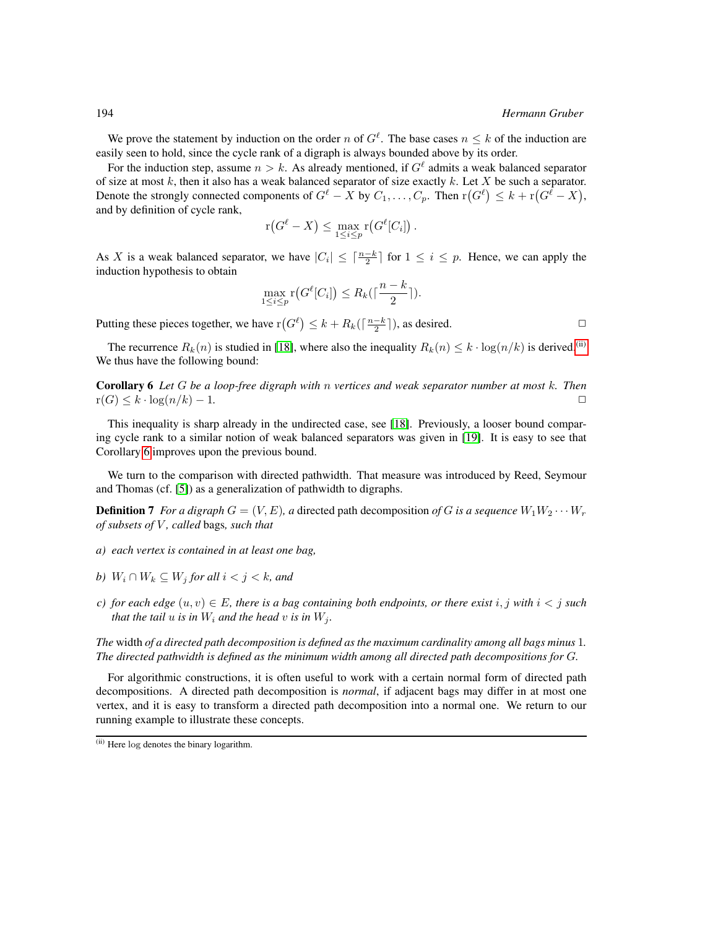We prove the statement by induction on the order n of  $G^{\ell}$ . The base cases  $n \leq k$  of the induction are easily seen to hold, since the cycle rank of a digraph is always bounded above by its order.

For the induction step, assume  $n > k$ . As already mentioned, if  $G<sup>\ell</sup>$  admits a weak balanced separator of size at most  $k$ , then it also has a weak balanced separator of size exactly  $k$ . Let  $X$  be such a separator. Denote the strongly connected components of  $G^\ell - X$  by  $C_1, \ldots, C_p$ . Then  $\mathrm{r}(G^\ell) \leq k + \mathrm{r}(G^\ell - X),$ and by definition of cycle rank,

$$
\mathrm{r}(G^\ell - X) \leq \max_{1 \leq i \leq p} \mathrm{r}(G^\ell[C_i])\,.
$$

As X is a weak balanced separator, we have  $|C_i| \leq \lceil \frac{n-k}{2} \rceil$  for  $1 \leq i \leq p$ . Hence, we can apply the induction hypothesis to obtain

$$
\max_{1 \le i \le p} \mathsf{r}\big(G^{\ell}[C_i]\big) \le R_k\big(\lceil \frac{n-k}{2} \rceil\big).
$$

Putting these pieces together, we have  $r(G^{\ell}) \leq k + R_k(\lceil \frac{n-k}{2} \rceil)$ , as desired.

The recurrence  $R_k(n)$  is studied in [\[18\]](#page-14-9), where also the inequality  $R_k(n) \leq k \cdot \log(n/k)$  is derived.<sup>[\(ii\)](#page-5-0)</sup> We thus have the following bound:

<span id="page-5-1"></span>Corollary 6 *Let* G *be a loop-free digraph with* n *vertices and weak separator number at most* k*. Then*  $r(G) \leq k \cdot \log(n/k) - 1.$ 

This inequality is sharp already in the undirected case, see [\[18\]](#page-14-9). Previously, a looser bound comparing cycle rank to a similar notion of weak balanced separators was given in [\[19\]](#page-14-11). It is easy to see that Corollary [6](#page-5-1) improves upon the previous bound.

We turn to the comparison with directed pathwidth. That measure was introduced by Reed, Seymour and Thomas (cf. [\[5\]](#page-13-3)) as a generalization of pathwidth to digraphs.

**Definition 7** *For a digraph*  $G = (V, E)$ *, a* directed path decomposition of G is a sequence  $W_1 W_2 \cdots W_r$ *of subsets of* V *, called* bags*, such that*

- *a) each vertex is contained in at least one bag,*
- *b*)  $W_i \cap W_k \subseteq W_j$  *for all*  $i < j < k$ *, and*
- *c)* for each edge  $(u, v) \in E$ , there is a bag containing both endpoints, or there exist i, j with  $i < j$  such *that the tail*  $u$  *is in*  $W_i$  *and the head*  $v$  *is in*  $W_j$ *.*

*The* width *of a directed path decomposition is defined as the maximum cardinality among all bags minus* 1*. The directed pathwidth is defined as the minimum width among all directed path decompositions for* G*.*

For algorithmic constructions, it is often useful to work with a certain normal form of directed path decompositions. A directed path decomposition is *normal*, if adjacent bags may differ in at most one vertex, and it is easy to transform a directed path decomposition into a normal one. We return to our running example to illustrate these concepts.

<span id="page-5-0"></span><sup>(</sup>ii) Here log denotes the binary logarithm.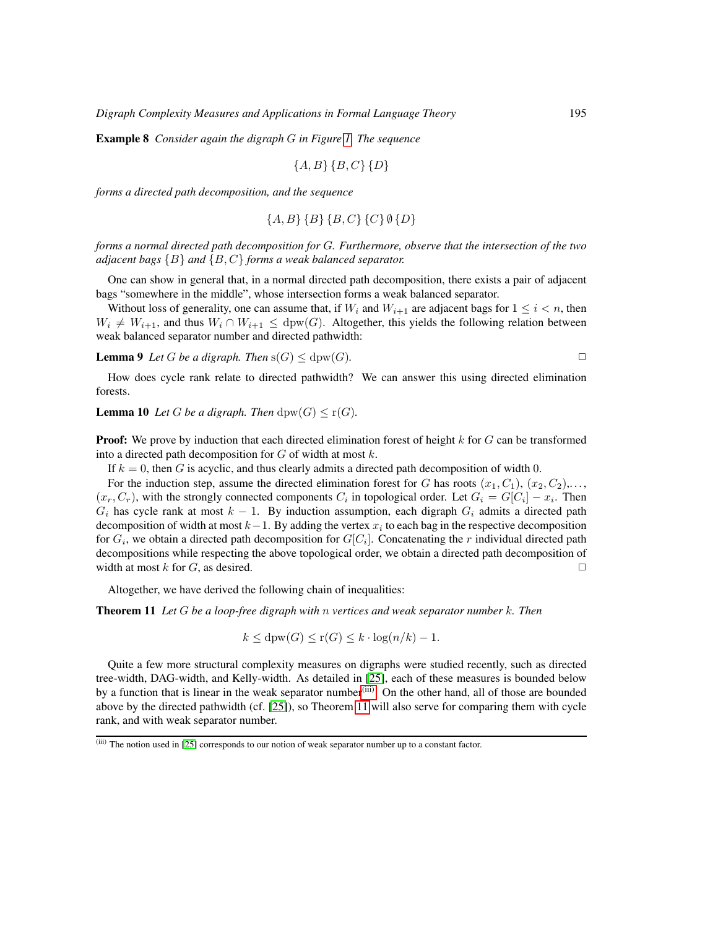Example 8 *Consider again the digraph* G *in Figure [1.](#page-4-0) The sequence*

$$
\{A, B\} \{B, C\} \{D\}
$$

*forms a directed path decomposition, and the sequence*

$$
\{A, B\} \{B\} \{B, C\} \{C\} \emptyset \{D\}
$$

*forms a normal directed path decomposition for* G*. Furthermore, observe that the intersection of the two adjacent bags* {B} *and* {B, C} *forms a weak balanced separator.*

One can show in general that, in a normal directed path decomposition, there exists a pair of adjacent bags "somewhere in the middle", whose intersection forms a weak balanced separator.

Without loss of generality, one can assume that, if  $W_i$  and  $W_{i+1}$  are adjacent bags for  $1 \leq i < n$ , then  $W_i \neq W_{i+1}$ , and thus  $W_i \cap W_{i+1} \leq$  dpw(G). Altogether, this yields the following relation between weak balanced separator number and directed pathwidth:

**Lemma 9** Let G be a digraph. Then  $s(G) \leq d$ pw $(G)$ .

$$
\qquad \qquad \Box
$$

<span id="page-6-2"></span>How does cycle rank relate to directed pathwidth? We can answer this using directed elimination forests.

**Lemma 10** Let G be a digraph. Then  $d$ pw $(G) \le r(G)$ .

**Proof:** We prove by induction that each directed elimination forest of height  $k$  for  $G$  can be transformed into a directed path decomposition for  $G$  of width at most  $k$ .

If  $k = 0$ , then G is acyclic, and thus clearly admits a directed path decomposition of width 0.

For the induction step, assume the directed elimination forest for G has roots  $(x_1, C_1)$ ,  $(x_2, C_2)$ ,...  $(x_r, C_r)$ , with the strongly connected components  $C_i$  in topological order. Let  $G_i = G[C_i] - x_i$ . Then  $G_i$  has cycle rank at most  $k - 1$ . By induction assumption, each digraph  $G_i$  admits a directed path decomposition of width at most  $k-1$ . By adding the vertex  $x_i$  to each bag in the respective decomposition for  $G_i$ , we obtain a directed path decomposition for  $G[C_i]$ . Concatenating the r individual directed path decompositions while respecting the above topological order, we obtain a directed path decomposition of width at most k for G, as desired.  $\Box$ 

Altogether, we have derived the following chain of inequalities:

Theorem 11 *Let* G *be a loop-free digraph with* n *vertices and weak separator number* k*. Then*

<span id="page-6-1"></span>
$$
k \le \text{dpw}(G) \le r(G) \le k \cdot \log(n/k) - 1.
$$

Quite a few more structural complexity measures on digraphs were studied recently, such as directed tree-width, DAG-width, and Kelly-width. As detailed in [\[25\]](#page-14-12), each of these measures is bounded below by a function that is linear in the weak separator number<sup>[\(iii\)](#page-6-0)</sup>. On the other hand, all of those are bounded above by the directed pathwidth (cf. [\[25\]](#page-14-12)), so Theorem [11](#page-6-1) will also serve for comparing them with cycle rank, and with weak separator number.

<span id="page-6-0"></span><sup>(</sup>iii) The notion used in [\[25\]](#page-14-12) corresponds to our notion of weak separator number up to a constant factor.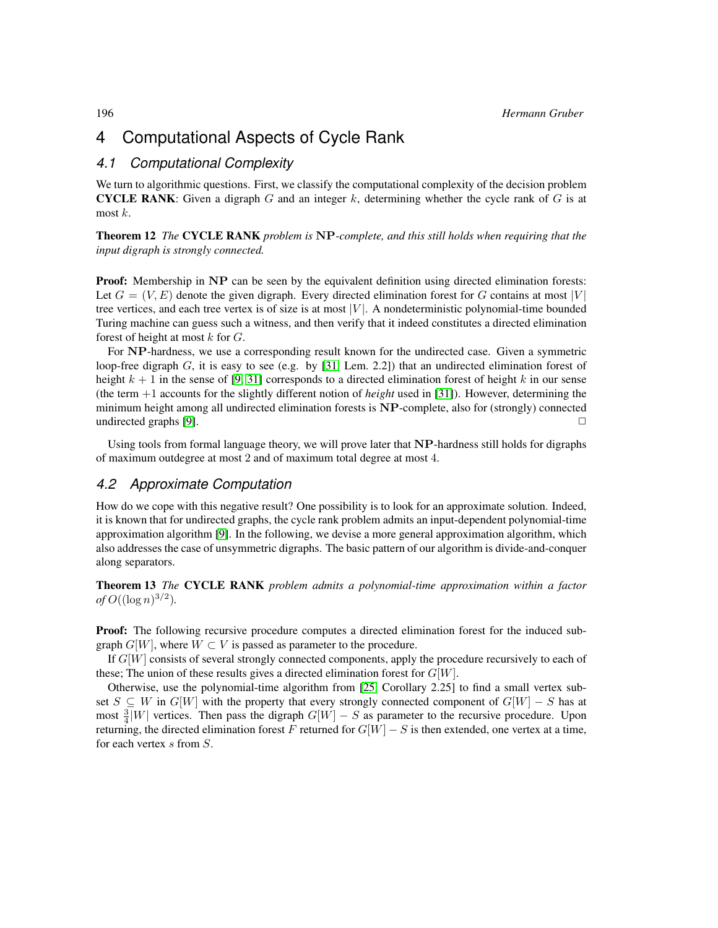# <span id="page-7-0"></span>4 Computational Aspects of Cycle Rank

#### *4.1 Computational Complexity*

We turn to algorithmic questions. First, we classify the computational complexity of the decision problem **CYCLE RANK:** Given a digraph  $G$  and an integer  $k$ , determining whether the cycle rank of  $G$  is at most  $k$ .

<span id="page-7-2"></span>Theorem 12 *The* CYCLE RANK *problem is* NP*-complete, and this still holds when requiring that the input digraph is strongly connected.*

**Proof:** Membership in NP can be seen by the equivalent definition using directed elimination forests: Let  $G = (V, E)$  denote the given digraph. Every directed elimination forest for G contains at most |V| tree vertices, and each tree vertex is of size is at most  $|V|$ . A nondeterministic polynomial-time bounded Turing machine can guess such a witness, and then verify that it indeed constitutes a directed elimination forest of height at most  $k$  for  $G$ .

For NP-hardness, we use a corresponding result known for the undirected case. Given a symmetric loop-free digraph  $G$ , it is easy to see (e.g. by [\[31,](#page-14-13) Lem. 2.2]) that an undirected elimination forest of height  $k + 1$  in the sense of [\[9,](#page-13-6) [31\]](#page-14-13) corresponds to a directed elimination forest of height k in our sense (the term  $+1$  accounts for the slightly different notion of *height* used in [\[31\]](#page-14-13)). However, determining the minimum height among all undirected elimination forests is NP-complete, also for (strongly) connected undirected graphs  $[9]$ .

Using tools from formal language theory, we will prove later that NP-hardness still holds for digraphs of maximum outdegree at most 2 and of maximum total degree at most 4.

#### *4.2 Approximate Computation*

How do we cope with this negative result? One possibility is to look for an approximate solution. Indeed, it is known that for undirected graphs, the cycle rank problem admits an input-dependent polynomial-time approximation algorithm [\[9\]](#page-13-6). In the following, we devise a more general approximation algorithm, which also addresses the case of unsymmetric digraphs. The basic pattern of our algorithm is divide-and-conquer along separators.

<span id="page-7-1"></span>Theorem 13 *The* CYCLE RANK *problem admits a polynomial-time approximation within a factor of*  $O((\log n)^{3/2})$ *.* 

**Proof:** The following recursive procedure computes a directed elimination forest for the induced subgraph  $G[W]$ , where  $W \subset V$  is passed as parameter to the procedure.

If  $G[W]$  consists of several strongly connected components, apply the procedure recursively to each of these; The union of these results gives a directed elimination forest for  $G[W]$ .

Otherwise, use the polynomial-time algorithm from [\[25,](#page-14-12) Corollary 2.25] to find a small vertex subset  $S \subseteq W$  in  $G[W]$  with the property that every strongly connected component of  $G[W] - S$  has at most  $\frac{3}{4}|W|$  vertices. Then pass the digraph  $G[W] - S$  as parameter to the recursive procedure. Upon returning, the directed elimination forest F returned for  $G[W] - S$  is then extended, one vertex at a time, for each vertex s from S.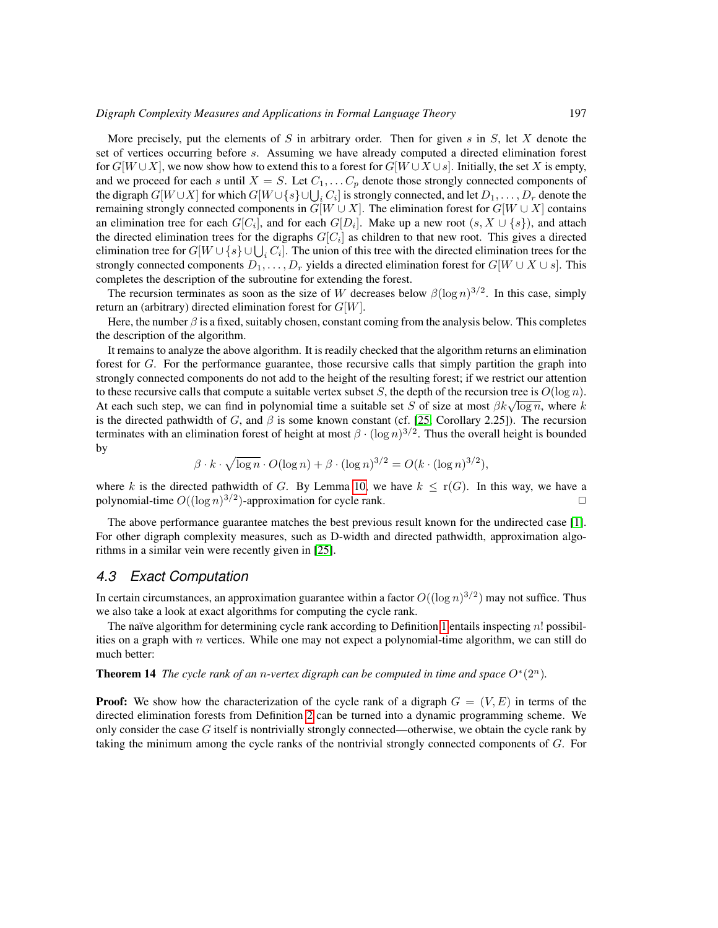More precisely, put the elements of S in arbitrary order. Then for given s in S, let X denote the set of vertices occurring before s. Assuming we have already computed a directed elimination forest for  $G[W \cup X]$ , we now show how to extend this to a forest for  $G[W \cup X \cup s]$ . Initially, the set X is empty, and we proceed for each s until  $X = S$ . Let  $C_1, \ldots, C_p$  denote those strongly connected components of the digraph  $G[W\cup X]$  for which  $G[W\cup \{s\}\cup \bigcup_i C_i]$  is strongly connected, and let  $D_1,\ldots, D_r$  denote the remaining strongly connected components in  $G[W \cup X]$ . The elimination forest for  $G[W \cup X]$  contains an elimination tree for each  $G[C_i]$ , and for each  $G[D_i]$ . Make up a new root  $(s, X \cup \{s\})$ , and attach the directed elimination trees for the digraphs  $G[C_i]$  as children to that new root. This gives a directed elimination tree for  $G[W \cup \{s\} \cup \bigcup_i C_i]$ . The union of this tree with the directed elimination trees for the strongly connected components  $D_1, \ldots, D_r$  yields a directed elimination forest for  $G[W \cup X \cup s]$ . This completes the description of the subroutine for extending the forest.

The recursion terminates as soon as the size of W decreases below  $\beta(\log n)^{3/2}$ . In this case, simply return an (arbitrary) directed elimination forest for  $G[W]$ .

Here, the number  $\beta$  is a fixed, suitably chosen, constant coming from the analysis below. This completes the description of the algorithm.

It remains to analyze the above algorithm. It is readily checked that the algorithm returns an elimination forest for G. For the performance guarantee, those recursive calls that simply partition the graph into strongly connected components do not add to the height of the resulting forest; if we restrict our attention to these recursive calls that compute a suitable vertex subset S, the depth of the recursion tree is  $O(\log n)$ . to these recursive cans that compute a suitable vertex subset *S*, the depth of the recursion tree is  $O(\log n)$ .<br>At each such step, we can find in polynomial time a suitable set *S* of size at most  $\beta k \sqrt{\log n}$ , where k is the directed pathwidth of G, and  $\beta$  is some known constant (cf. [\[25,](#page-14-12) Corollary 2.25]). The recursion terminates with an elimination forest of height at most  $\beta \cdot (\log n)^{3/2}$ . Thus the overall height is bounded by

$$
\beta \cdot k \cdot \sqrt{\log n} \cdot O(\log n) + \beta \cdot (\log n)^{3/2} = O(k \cdot (\log n)^{3/2}),
$$

where k is the directed pathwidth of G. By Lemma [10,](#page-6-2) we have  $k \leq r(G)$ . In this way, we have a polynomial-time  $O((\log n)^{3/2})$ -approximation for cycle rank.

The above performance guarantee matches the best previous result known for the undirected case [\[1\]](#page-13-13). For other digraph complexity measures, such as D-width and directed pathwidth, approximation algorithms in a similar vein were recently given in [\[25\]](#page-14-12).

#### *4.3 Exact Computation*

In certain circumstances, an approximation guarantee within a factor  $O((\log n)^{3/2})$  may not suffice. Thus we also take a look at exact algorithms for computing the cycle rank.

The naïve algorithm for determining cycle rank according to Definition [1](#page-3-1) entails inspecting  $n!$  possibilities on a graph with  $n$  vertices. While one may not expect a polynomial-time algorithm, we can still do much better:

**Theorem 14** The cycle rank of an n-vertex digraph can be computed in time and space  $O^*(2^n)$ .

**Proof:** We show how the characterization of the cycle rank of a digraph  $G = (V, E)$  in terms of the directed elimination forests from Definition [2](#page-3-2) can be turned into a dynamic programming scheme. We only consider the case  $G$  itself is nontrivially strongly connected—otherwise, we obtain the cycle rank by taking the minimum among the cycle ranks of the nontrivial strongly connected components of G. For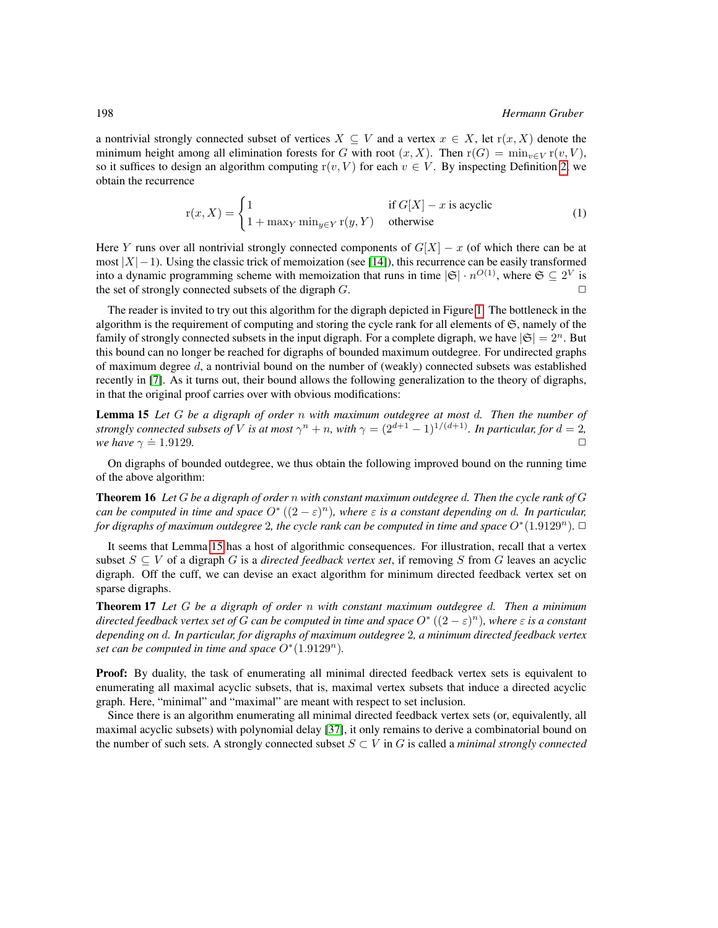a nontrivial strongly connected subset of vertices  $X \subseteq V$  and a vertex  $x \in X$ , let  $r(x, X)$  denote the minimum height among all elimination forests for G with root  $(x, X)$ . Then  $r(G) = \min_{y \in V} r(v, V)$ , so it suffices to design an algorithm computing  $r(v, V)$  for each  $v \in V$ . By inspecting Definition [2,](#page-3-2) we obtain the recurrence

$$
\mathbf{r}(x, X) = \begin{cases} 1 & \text{if } G[X] - x \text{ is acyclic} \\ 1 + \max_{Y} \min_{y \in Y} \mathbf{r}(y, Y) & \text{otherwise} \end{cases}
$$
(1)

Here Y runs over all nontrivial strongly connected components of  $G[X] - x$  (of which there can be at most  $|X|$ −1). Using the classic trick of memoization (see [\[14\]](#page-13-1)), this recurrence can be easily transformed into a dynamic programming scheme with memoization that runs in time  $|\mathfrak{S}| \cdot n^{O(1)}$ , where  $\mathfrak{S} \subseteq 2^V$  is the set of strongly connected subsets of the digraph  $G$ .

The reader is invited to try out this algorithm for the digraph depicted in Figure [1.](#page-4-0) The bottleneck in the algorithm is the requirement of computing and storing the cycle rank for all elements of  $\mathfrak{S}$ , namely of the family of strongly connected subsets in the input digraph. For a complete digraph, we have  $|\mathfrak{S}| = 2^n$ . But this bound can no longer be reached for digraphs of bounded maximum outdegree. For undirected graphs of maximum degree  $d$ , a nontrivial bound on the number of (weakly) connected subsets was established recently in [\[7\]](#page-13-14). As it turns out, their bound allows the following generalization to the theory of digraphs, in that the original proof carries over with obvious modifications:

<span id="page-9-0"></span>Lemma 15 *Let* G *be a digraph of order* n *with maximum outdegree at most* d*. Then the number of strongly connected subsets of V is at most*  $\gamma^n + n$ *, with*  $\gamma = (2^{d+1} - 1)^{1/(d+1)}$ *. In particular, for*  $d = 2$ *,*  $\Box$ *we have*  $\gamma \doteq 1.9129$ *.* 

On digraphs of bounded outdegree, we thus obtain the following improved bound on the running time of the above algorithm:

<span id="page-9-1"></span>Theorem 16 *Let* G *be a digraph of order* n *with constant maximum outdegree* d*. Then the cycle rank of* G *can be computed in time and space*  $O^*((2 - \varepsilon)^n)$ , where  $\varepsilon$  *is a constant depending on d. In particular, for digraphs of maximum outdegree* 2, the cycle rank can be computed in time and space  $O^*(1.9129^n)$ .  $\Box$ 

It seems that Lemma [15](#page-9-0) has a host of algorithmic consequences. For illustration, recall that a vertex subset  $S \subseteq V$  of a digraph G is a *directed feedback vertex set*, if removing S from G leaves an acyclic digraph. Off the cuff, we can devise an exact algorithm for minimum directed feedback vertex set on sparse digraphs.

<span id="page-9-2"></span>Theorem 17 *Let* G *be a digraph of order* n *with constant maximum outdegree* d*. Then a minimum directed feedback vertex set of* G *can be computed in time and space* O<sup>∗</sup> ((2 − ε) <sup>n</sup>)*, where* ε *is a constant depending on* d*. In particular, for digraphs of maximum outdegree* 2*, a minimum directed feedback vertex set can be computed in time and space*  $O<sup>*</sup>(1.9129<sup>n</sup>)$ *.* 

**Proof:** By duality, the task of enumerating all minimal directed feedback vertex sets is equivalent to enumerating all maximal acyclic subsets, that is, maximal vertex subsets that induce a directed acyclic graph. Here, "minimal" and "maximal" are meant with respect to set inclusion.

Since there is an algorithm enumerating all minimal directed feedback vertex sets (or, equivalently, all maximal acyclic subsets) with polynomial delay [\[37\]](#page-15-1), it only remains to derive a combinatorial bound on the number of such sets. A strongly connected subset  $S \subset V$  in G is called a *minimal strongly connected*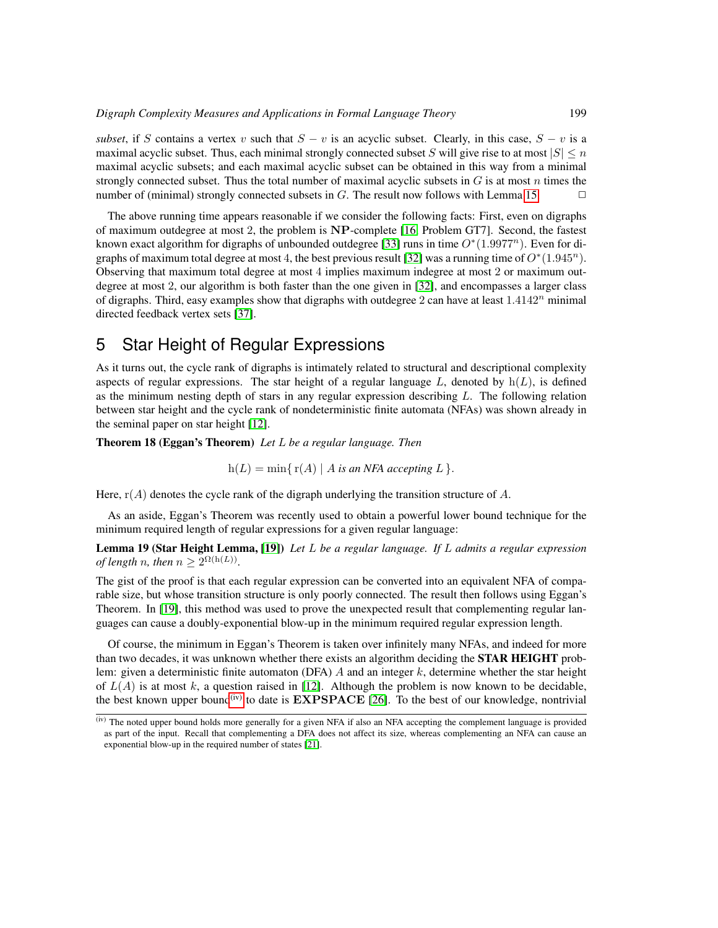*subset*, if S contains a vertex v such that  $S - v$  is an acyclic subset. Clearly, in this case,  $S - v$  is a maximal acyclic subset. Thus, each minimal strongly connected subset S will give rise to at most  $|S| \le n$ maximal acyclic subsets; and each maximal acyclic subset can be obtained in this way from a minimal strongly connected subset. Thus the total number of maximal acyclic subsets in  $G$  is at most  $n$  times the number of (minimal) strongly connected subsets in  $G$ . The result now follows with Lemma [15.](#page-9-0)

The above running time appears reasonable if we consider the following facts: First, even on digraphs of maximum outdegree at most 2, the problem is NP-complete [\[16,](#page-13-15) Problem GT7]. Second, the fastest known exact algorithm for digraphs of unbounded outdegree [\[33\]](#page-14-14) runs in time  $O^*(1.9977^n)$ . Even for di-graphs of maximum total degree at most 4, the best previous result [\[32\]](#page-14-15) was a running time of  $O^*(1.945^n)$ . Observing that maximum total degree at most 4 implies maximum indegree at most 2 or maximum outdegree at most 2, our algorithm is both faster than the one given in [\[32\]](#page-14-15), and encompasses a larger class of digraphs. Third, easy examples show that digraphs with outdegree 2 can have at least  $1.4142<sup>n</sup>$  minimal directed feedback vertex sets [\[37\]](#page-15-1).

# <span id="page-10-0"></span>5 Star Height of Regular Expressions

As it turns out, the cycle rank of digraphs is intimately related to structural and descriptional complexity aspects of regular expressions. The star height of a regular language L, denoted by  $h(L)$ , is defined as the minimum nesting depth of stars in any regular expression describing L. The following relation between star height and the cycle rank of nondeterministic finite automata (NFAs) was shown already in the seminal paper on star height [\[12\]](#page-13-7).

Theorem 18 (Eggan's Theorem) *Let* L *be a regular language. Then*

$$
h(L) = min\{r(A) | A \text{ is an NFA accepting } L\}.
$$

Here,  $r(A)$  denotes the cycle rank of the digraph underlying the transition structure of A.

As an aside, Eggan's Theorem was recently used to obtain a powerful lower bound technique for the minimum required length of regular expressions for a given regular language:

Lemma 19 (Star Height Lemma, [\[19\]](#page-14-11)) *Let* L *be a regular language. If* L *admits a regular expression of length n*, then  $n \geq 2^{\Omega(h(L))}$ .

The gist of the proof is that each regular expression can be converted into an equivalent NFA of comparable size, but whose transition structure is only poorly connected. The result then follows using Eggan's Theorem. In [\[19\]](#page-14-11), this method was used to prove the unexpected result that complementing regular languages can cause a doubly-exponential blow-up in the minimum required regular expression length.

Of course, the minimum in Eggan's Theorem is taken over infinitely many NFAs, and indeed for more than two decades, it was unknown whether there exists an algorithm deciding the **STAR HEIGHT** problem: given a deterministic finite automaton (DFA)  $A$  and an integer  $k$ , determine whether the star height of  $L(A)$  is at most k, a question raised in [\[12\]](#page-13-7). Although the problem is now known to be decidable, the best known upper bound<sup>[\(iv\)](#page-10-1)</sup> to date is  **[\[26\]](#page-14-5). To the best of our knowledge, nontrivial** 

<span id="page-10-1"></span> $<sup>(iv)</sup>$  The noted upper bound holds more generally for a given NFA if also an NFA accepting the complement language is provided</sup> as part of the input. Recall that complementing a DFA does not affect its size, whereas complementing an NFA can cause an exponential blow-up in the required number of states [\[21\]](#page-14-16).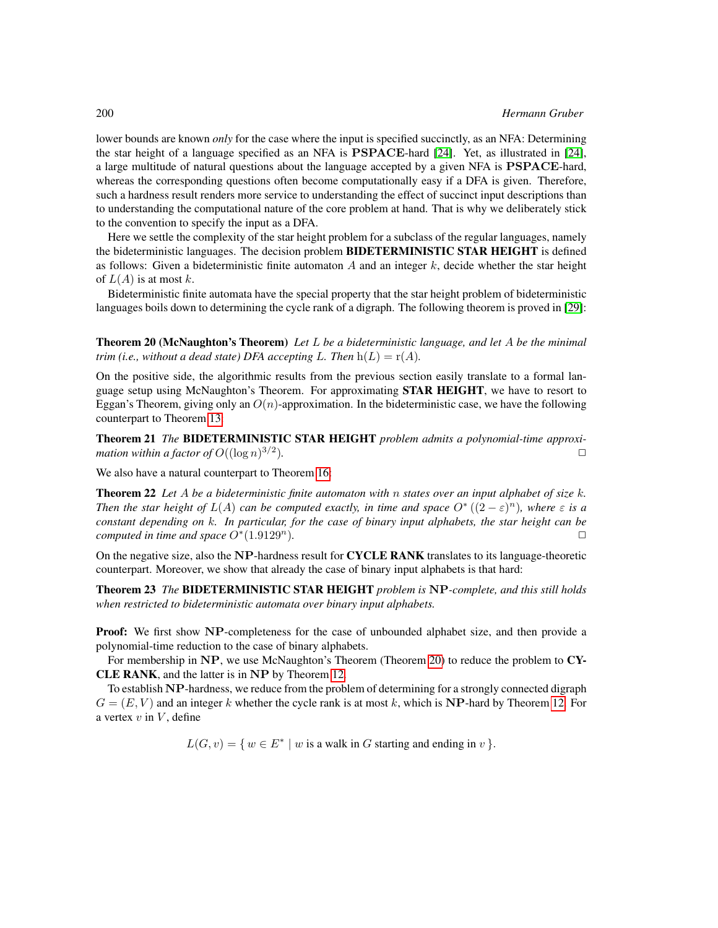lower bounds are known *only* for the case where the input is specified succinctly, as an NFA: Determining the star height of a language specified as an NFA is PSPACE-hard [\[24\]](#page-14-17). Yet, as illustrated in [\[24\]](#page-14-17), a large multitude of natural questions about the language accepted by a given NFA is PSPACE-hard, whereas the corresponding questions often become computationally easy if a DFA is given. Therefore, such a hardness result renders more service to understanding the effect of succinct input descriptions than to understanding the computational nature of the core problem at hand. That is why we deliberately stick to the convention to specify the input as a DFA.

Here we settle the complexity of the star height problem for a subclass of the regular languages, namely the bideterministic languages. The decision problem BIDETERMINISTIC STAR HEIGHT is defined as follows: Given a bideterministic finite automaton  $A$  and an integer  $k$ , decide whether the star height of  $L(A)$  is at most k.

<span id="page-11-0"></span>Bideterministic finite automata have the special property that the star height problem of bideterministic languages boils down to determining the cycle rank of a digraph. The following theorem is proved in [\[29\]](#page-14-18):

Theorem 20 (McNaughton's Theorem) *Let* L *be a bideterministic language, and let* A *be the minimal trim (i.e., without a dead state) DFA accepting L. Then*  $h(L) = r(A)$ *.* 

On the positive side, the algorithmic results from the previous section easily translate to a formal language setup using McNaughton's Theorem. For approximating **STAR HEIGHT**, we have to resort to Eggan's Theorem, giving only an  $O(n)$ -approximation. In the bideterministic case, we have the following counterpart to Theorem [13:](#page-7-1)

<span id="page-11-1"></span>Theorem 21 *The* BIDETERMINISTIC STAR HEIGHT *problem admits a polynomial-time approximation within a factor of*  $O((\log n)^{3/2})$ )*.* ✷

<span id="page-11-2"></span>We also have a natural counterpart to Theorem [16:](#page-9-1)

Theorem 22 *Let* A *be a bideterministic finite automaton with* n *states over an input alphabet of size* k*. Then the star height of*  $L(A)$  *can be computed exactly, in time and space*  $O^*((2 - \varepsilon)^n)$ *, where*  $\varepsilon$  *is a constant depending on* k*. In particular, for the case of binary input alphabets, the star height can be computed in time and space*  $O<sup>*</sup>(1.9129<sup>n</sup>)$ *.*  $\Box$ 

On the negative size, also the NP-hardness result for CYCLE RANK translates to its language-theoretic counterpart. Moreover, we show that already the case of binary input alphabets is that hard:

Theorem 23 *The* BIDETERMINISTIC STAR HEIGHT *problem is* NP*-complete, and this still holds when restricted to bideterministic automata over binary input alphabets.*

Proof: We first show NP-completeness for the case of unbounded alphabet size, and then provide a polynomial-time reduction to the case of binary alphabets.

For membership in NP, we use McNaughton's Theorem (Theorem [20\)](#page-11-0) to reduce the problem to CY-CLE RANK, and the latter is in NP by Theorem [12.](#page-7-2)

To establish NP-hardness, we reduce from the problem of determining for a strongly connected digraph  $G = (E, V)$  and an integer k whether the cycle rank is at most k, which is NP-hard by Theorem [12.](#page-7-2) For a vertex  $v$  in  $V$ , define

<span id="page-11-3"></span> $L(G, v) = \{ w \in E^* \mid w \text{ is a walk in } G \text{ starting and ending in } v \}.$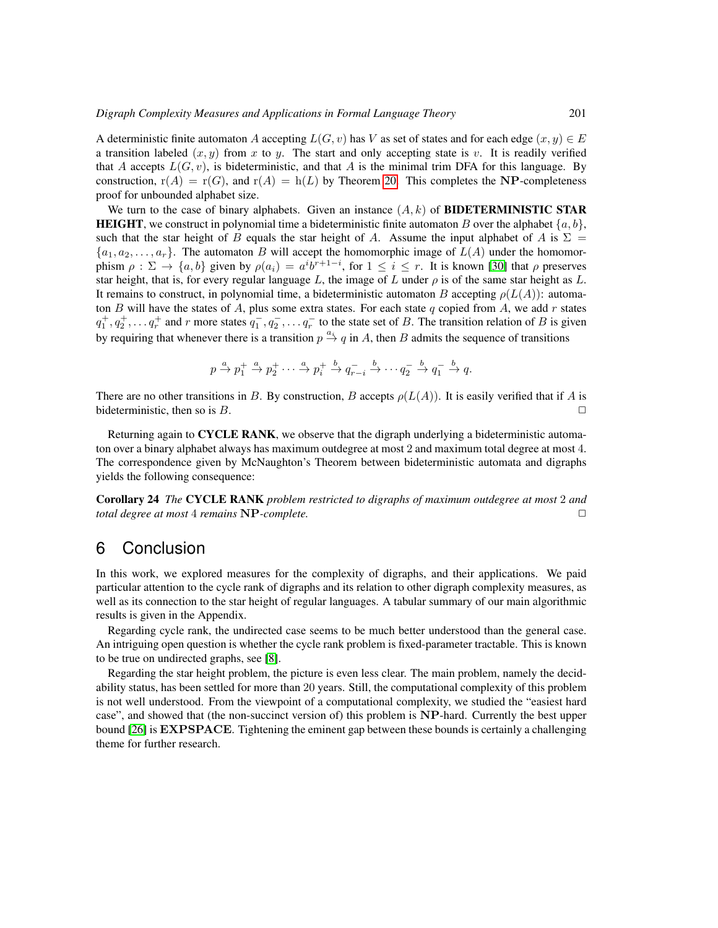A deterministic finite automaton A accepting  $L(G, v)$  has V as set of states and for each edge  $(x, y) \in E$ a transition labeled  $(x, y)$  from x to y. The start and only accepting state is v. It is readily verified that A accepts  $L(G, v)$ , is bideterministic, and that A is the minimal trim DFA for this language. By construction,  $r(A) = r(G)$ , and  $r(A) = h(L)$  by Theorem [20.](#page-11-0) This completes the NP-completeness proof for unbounded alphabet size.

We turn to the case of binary alphabets. Given an instance  $(A, k)$  of **BIDETERMINISTIC STAR HEIGHT**, we construct in polynomial time a bideterministic finite automaton B over the alphabet  $\{a, b\}$ , such that the star height of B equals the star height of A. Assume the input alphabet of A is  $\Sigma =$  $\{a_1, a_2, \ldots, a_r\}$ . The automaton B will accept the homomorphic image of  $L(A)$  under the homomorphism  $\rho : \Sigma \to \{a, b\}$  given by  $\rho(a_i) = a^i b^{r+1-i}$ , for  $1 \le i \le r$ . It is known [\[30\]](#page-14-7) that  $\rho$  preserves star height, that is, for every regular language L, the image of L under  $\rho$  is of the same star height as L. It remains to construct, in polynomial time, a bideterministic automaton B accepting  $\rho(L(A))$ : automaton B will have the states of A, plus some extra states. For each state q copied from A, we add r states  $q_1^+, q_2^+, \ldots q_r^+$  and r more states  $q_1^-, q_2^-, \ldots q_r^-$  to the state set of B. The transition relation of B is given by requiring that whenever there is a transition  $p \stackrel{a_i}{\rightarrow} q$  in A, then B admits the sequence of transitions

<span id="page-12-1"></span>
$$
p \xrightarrow{a} p_1^+ \xrightarrow{a} p_2^+ \cdots \xrightarrow{a} p_i^+ \xrightarrow{b} q_{r-i}^- \xrightarrow{b} \cdots q_2^- \xrightarrow{b} q_1^- \xrightarrow{b} q.
$$

There are no other transitions in B. By construction, B accepts  $\rho(L(A))$ . It is easily verified that if A is bideterministic, then so is  $B$ .

Returning again to CYCLE RANK, we observe that the digraph underlying a bideterministic automaton over a binary alphabet always has maximum outdegree at most 2 and maximum total degree at most 4. The correspondence given by McNaughton's Theorem between bideterministic automata and digraphs yields the following consequence:

Corollary 24 *The* CYCLE RANK *problem restricted to digraphs of maximum outdegree at most* 2 *and total degree at most* 4 *remains* NP*-complete.* ✷

# <span id="page-12-0"></span>6 Conclusion

In this work, we explored measures for the complexity of digraphs, and their applications. We paid particular attention to the cycle rank of digraphs and its relation to other digraph complexity measures, as well as its connection to the star height of regular languages. A tabular summary of our main algorithmic results is given in the Appendix.

Regarding cycle rank, the undirected case seems to be much better understood than the general case. An intriguing open question is whether the cycle rank problem is fixed-parameter tractable. This is known to be true on undirected graphs, see [\[8\]](#page-13-10).

Regarding the star height problem, the picture is even less clear. The main problem, namely the decidability status, has been settled for more than 20 years. Still, the computational complexity of this problem is not well understood. From the viewpoint of a computational complexity, we studied the "easiest hard case", and showed that (the non-succinct version of) this problem is NP-hard. Currently the best upper bound [\[26\]](#page-14-5) is **EXPSPACE**. Tightening the eminent gap between these bounds is certainly a challenging theme for further research.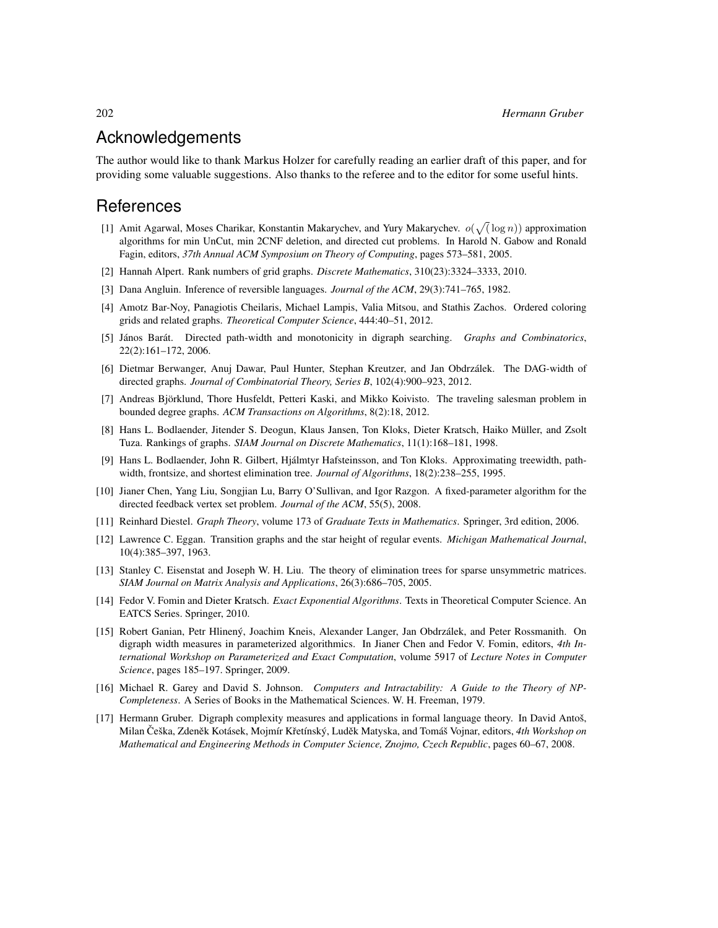# Acknowledgements

The author would like to thank Markus Holzer for carefully reading an earlier draft of this paper, and for providing some valuable suggestions. Also thanks to the referee and to the editor for some useful hints.

# **References**

- <span id="page-13-13"></span>[1] Amit Agarwal, Moses Charikar, Konstantin Makarychev, and Yury Makarychev.  $o(\sqrt{(\log n)})$  approximation algorithms for min UnCut, min 2CNF deletion, and directed cut problems. In Harold N. Gabow and Ronald Fagin, editors, *37th Annual ACM Symposium on Theory of Computing*, pages 573–581, 2005.
- <span id="page-13-8"></span>[2] Hannah Alpert. Rank numbers of grid graphs. *Discrete Mathematics*, 310(23):3324–3333, 2010.
- <span id="page-13-11"></span>[3] Dana Angluin. Inference of reversible languages. *Journal of the ACM*, 29(3):741–765, 1982.
- <span id="page-13-9"></span>[4] Amotz Bar-Noy, Panagiotis Cheilaris, Michael Lampis, Valia Mitsou, and Stathis Zachos. Ordered coloring grids and related graphs. *Theoretical Computer Science*, 444:40–51, 2012.
- <span id="page-13-3"></span>[5] János Barát. Directed path-width and monotonicity in digraph searching. *Graphs and Combinatorics*, 22(2):161–172, 2006.
- <span id="page-13-4"></span>[6] Dietmar Berwanger, Anuj Dawar, Paul Hunter, Stephan Kreutzer, and Jan Obdrzalek. The DAG-width of ´ directed graphs. *Journal of Combinatorial Theory, Series B*, 102(4):900–923, 2012.
- <span id="page-13-14"></span>[7] Andreas Björklund, Thore Husfeldt, Petteri Kaski, and Mikko Koivisto. The traveling salesman problem in bounded degree graphs. *ACM Transactions on Algorithms*, 8(2):18, 2012.
- <span id="page-13-10"></span>[8] Hans L. Bodlaender, Jitender S. Deogun, Klaus Jansen, Ton Kloks, Dieter Kratsch, Haiko Muller, and Zsolt ¨ Tuza. Rankings of graphs. *SIAM Journal on Discrete Mathematics*, 11(1):168–181, 1998.
- <span id="page-13-6"></span>[9] Hans L. Bodlaender, John R. Gilbert, Hjalmtyr Hafsteinsson, and Ton Kloks. Approximating treewidth, path- ´ width, frontsize, and shortest elimination tree. *Journal of Algorithms*, 18(2):238–255, 1995.
- <span id="page-13-16"></span>[10] Jianer Chen, Yang Liu, Songjian Lu, Barry O'Sullivan, and Igor Razgon. A fixed-parameter algorithm for the directed feedback vertex set problem. *Journal of the ACM*, 55(5), 2008.
- <span id="page-13-0"></span>[11] Reinhard Diestel. *Graph Theory*, volume 173 of *Graduate Texts in Mathematics*. Springer, 3rd edition, 2006.
- <span id="page-13-7"></span>[12] Lawrence C. Eggan. Transition graphs and the star height of regular events. *Michigan Mathematical Journal*, 10(4):385–397, 1963.
- <span id="page-13-12"></span>[13] Stanley C. Eisenstat and Joseph W. H. Liu. The theory of elimination trees for sparse unsymmetric matrices. *SIAM Journal on Matrix Analysis and Applications*, 26(3):686–705, 2005.
- <span id="page-13-1"></span>[14] Fedor V. Fomin and Dieter Kratsch. *Exact Exponential Algorithms*. Texts in Theoretical Computer Science. An EATCS Series. Springer, 2010.
- <span id="page-13-5"></span>[15] Robert Ganian, Petr Hlinený, Joachim Kneis, Alexander Langer, Jan Obdrzálek, and Peter Rossmanith. On digraph width measures in parameterized algorithmics. In Jianer Chen and Fedor V. Fomin, editors, *4th International Workshop on Parameterized and Exact Computation*, volume 5917 of *Lecture Notes in Computer Science*, pages 185–197. Springer, 2009.
- <span id="page-13-15"></span>[16] Michael R. Garey and David S. Johnson. *Computers and Intractability: A Guide to the Theory of NP-Completeness*. A Series of Books in the Mathematical Sciences. W. H. Freeman, 1979.
- <span id="page-13-2"></span>[17] Hermann Gruber. Digraph complexity measures and applications in formal language theory. In David Antoš, Milan Češka, Zdeněk Kotásek, Mojmír Křetínský, Luděk Matyska, and Tomáš Vojnar, editors, 4th Workshop on *Mathematical and Engineering Methods in Computer Science, Znojmo, Czech Republic*, pages 60–67, 2008.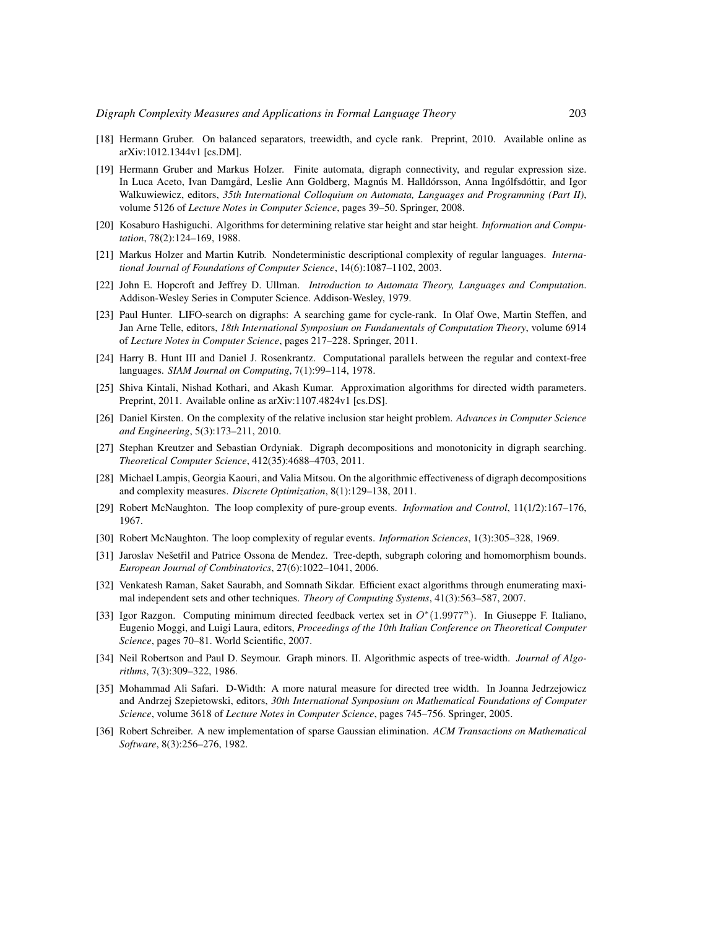- <span id="page-14-9"></span>[18] Hermann Gruber. On balanced separators, treewidth, and cycle rank. Preprint, 2010. Available online as arXiv:1012.1344v1 [cs.DM].
- <span id="page-14-11"></span>[19] Hermann Gruber and Markus Holzer. Finite automata, digraph connectivity, and regular expression size. In Luca Aceto, Ivan Damgård, Leslie Ann Goldberg, Magnús M. Halldórsson, Anna Ingólfsdóttir, and Igor Walkuwiewicz, editors, *35th International Colloquium on Automata, Languages and Programming (Part II)*, volume 5126 of *Lecture Notes in Computer Science*, pages 39–50. Springer, 2008.
- <span id="page-14-4"></span>[20] Kosaburo Hashiguchi. Algorithms for determining relative star height and star height. *Information and Computation*, 78(2):124–169, 1988.
- <span id="page-14-16"></span>[21] Markus Holzer and Martin Kutrib. Nondeterministic descriptional complexity of regular languages. *International Journal of Foundations of Computer Science*, 14(6):1087–1102, 2003.
- <span id="page-14-6"></span>[22] John E. Hopcroft and Jeffrey D. Ullman. *Introduction to Automata Theory, Languages and Computation*. Addison-Wesley Series in Computer Science. Addison-Wesley, 1979.
- <span id="page-14-2"></span>[23] Paul Hunter. LIFO-search on digraphs: A searching game for cycle-rank. In Olaf Owe, Martin Steffen, and Jan Arne Telle, editors, *18th International Symposium on Fundamentals of Computation Theory*, volume 6914 of *Lecture Notes in Computer Science*, pages 217–228. Springer, 2011.
- <span id="page-14-17"></span>[24] Harry B. Hunt III and Daniel J. Rosenkrantz. Computational parallels between the regular and context-free languages. *SIAM Journal on Computing*, 7(1):99–114, 1978.
- <span id="page-14-12"></span>[25] Shiva Kintali, Nishad Kothari, and Akash Kumar. Approximation algorithms for directed width parameters. Preprint, 2011. Available online as arXiv:1107.4824v1 [cs.DS].
- <span id="page-14-5"></span>[26] Daniel Kirsten. On the complexity of the relative inclusion star height problem. *Advances in Computer Science and Engineering*, 5(3):173–211, 2010.
- <span id="page-14-0"></span>[27] Stephan Kreutzer and Sebastian Ordyniak. Digraph decompositions and monotonicity in digraph searching. *Theoretical Computer Science*, 412(35):4688–4703, 2011.
- <span id="page-14-3"></span>[28] Michael Lampis, Georgia Kaouri, and Valia Mitsou. On the algorithmic effectiveness of digraph decompositions and complexity measures. *Discrete Optimization*, 8(1):129–138, 2011.
- <span id="page-14-18"></span>[29] Robert McNaughton. The loop complexity of pure-group events. *Information and Control*, 11(1/2):167–176, 1967.
- <span id="page-14-7"></span>[30] Robert McNaughton. The loop complexity of regular events. *Information Sciences*, 1(3):305–328, 1969.
- <span id="page-14-13"></span>[31] Jaroslav Nešetřil and Patrice Ossona de Mendez. Tree-depth, subgraph coloring and homomorphism bounds. *European Journal of Combinatorics*, 27(6):1022–1041, 2006.
- <span id="page-14-15"></span>[32] Venkatesh Raman, Saket Saurabh, and Somnath Sikdar. Efficient exact algorithms through enumerating maximal independent sets and other techniques. *Theory of Computing Systems*, 41(3):563–587, 2007.
- <span id="page-14-14"></span>[33] Igor Razgon. Computing minimum directed feedback vertex set in  $O^*(1.9977^n)$ . In Giuseppe F. Italiano, Eugenio Moggi, and Luigi Laura, editors, *Proceedings of the 10th Italian Conference on Theoretical Computer Science*, pages 70–81. World Scientific, 2007.
- <span id="page-14-10"></span>[34] Neil Robertson and Paul D. Seymour. Graph minors. II. Algorithmic aspects of tree-width. *Journal of Algorithms*, 7(3):309–322, 1986.
- <span id="page-14-1"></span>[35] Mohammad Ali Safari. D-Width: A more natural measure for directed tree width. In Joanna Jedrzejowicz and Andrzej Szepietowski, editors, *30th International Symposium on Mathematical Foundations of Computer Science*, volume 3618 of *Lecture Notes in Computer Science*, pages 745–756. Springer, 2005.
- <span id="page-14-8"></span>[36] Robert Schreiber. A new implementation of sparse Gaussian elimination. *ACM Transactions on Mathematical Software*, 8(3):256–276, 1982.